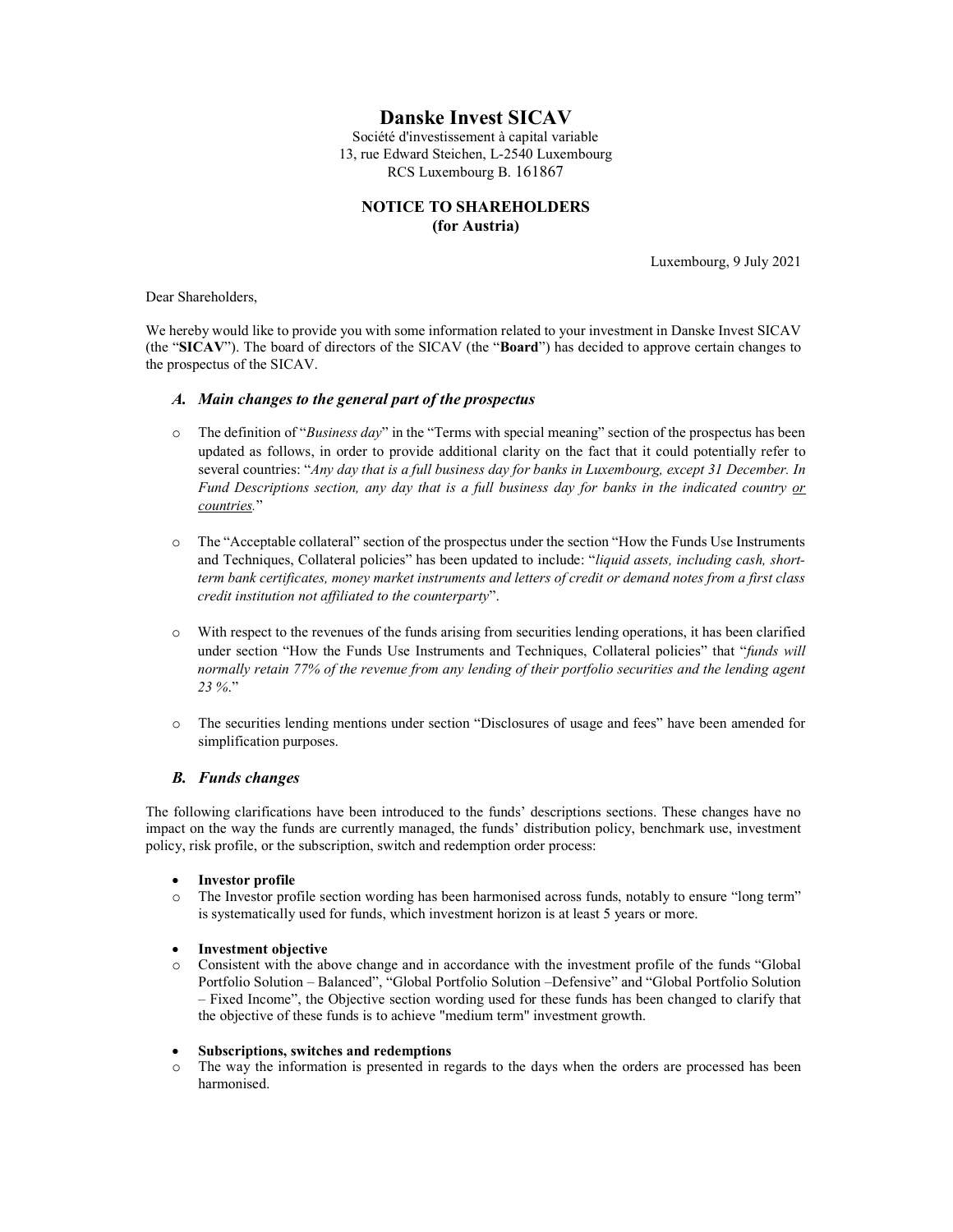# Danske Invest SICAV

Société d'investissement à capital variable 13, rue Edward Steichen, L-2540 Luxembourg RCS Luxembourg B. 161867

# NOTICE TO SHAREHOLDERS (for Austria)

Luxembourg, 9 July 2021

Dear Shareholders,

We hereby would like to provide you with some information related to your investment in Danske Invest SICAV (the "SICAV"). The board of directors of the SICAV (the "Board") has decided to approve certain changes to the prospectus of the SICAV.

## A. Main changes to the general part of the prospectus

- $\circ$  The definition of "Business day" in the "Terms with special meaning" section of the prospectus has been updated as follows, in order to provide additional clarity on the fact that it could potentially refer to several countries: "Any day that is a full business day for banks in Luxembourg, except 31 December. In Fund Descriptions section, any day that is a full business day for banks in the indicated country or countries."
- o The "Acceptable collateral" section of the prospectus under the section "How the Funds Use Instruments and Techniques, Collateral policies" has been updated to include: "liquid assets, including cash, shortterm bank certificates, money market instruments and letters of credit or demand notes from a first class credit institution not affiliated to the counterparty".
- o With respect to the revenues of the funds arising from securities lending operations, it has been clarified under section "How the Funds Use Instruments and Techniques, Collateral policies" that "funds will normally retain 77% of the revenue from any lending of their portfolio securities and the lending agent 23 %."
- o The securities lending mentions under section "Disclosures of usage and fees" have been amended for simplification purposes.

## B. Funds changes

The following clarifications have been introduced to the funds' descriptions sections. These changes have no impact on the way the funds are currently managed, the funds' distribution policy, benchmark use, investment policy, risk profile, or the subscription, switch and redemption order process:

- Investor profile
- o The Investor profile section wording has been harmonised across funds, notably to ensure "long term" is systematically used for funds, which investment horizon is at least 5 years or more.

## Investment objective

Consistent with the above change and in accordance with the investment profile of the funds "Global" Portfolio Solution – Balanced", "Global Portfolio Solution –Defensive" and "Global Portfolio Solution – Fixed Income", the Objective section wording used for these funds has been changed to clarify that the objective of these funds is to achieve "medium term" investment growth.

#### Subscriptions, switches and redemptions

o The way the information is presented in regards to the days when the orders are processed has been harmonised.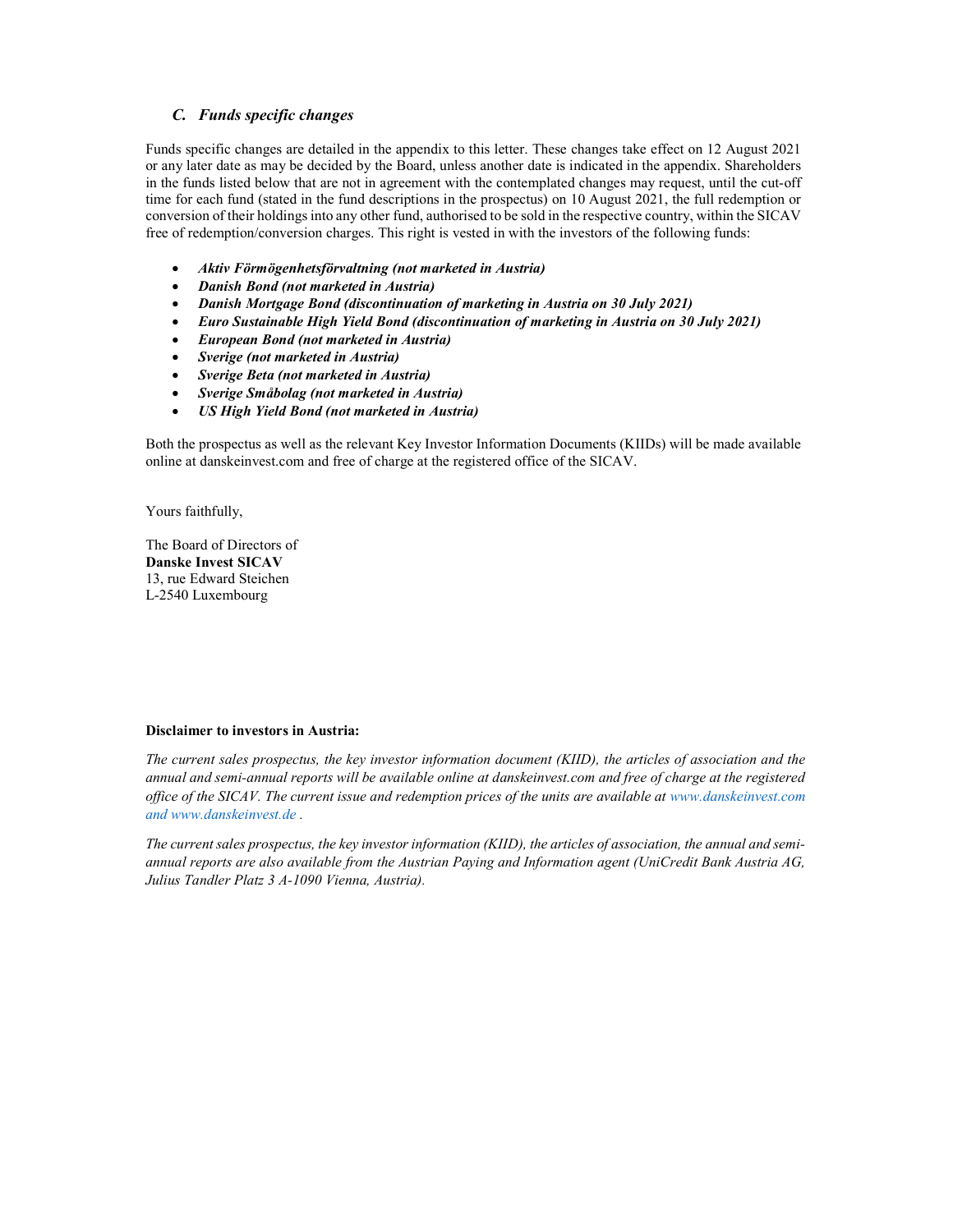# C. Funds specific changes

Funds specific changes are detailed in the appendix to this letter. These changes take effect on 12 August 2021 or any later date as may be decided by the Board, unless another date is indicated in the appendix. Shareholders in the funds listed below that are not in agreement with the contemplated changes may request, until the cut-off time for each fund (stated in the fund descriptions in the prospectus) on 10 August 2021, the full redemption or conversion of their holdings into any other fund, authorised to be sold in the respective country, within the SICAV free of redemption/conversion charges. This right is vested in with the investors of the following funds:

- Aktiv Förmögenhetsförvaltning (not marketed in Austria)
- Danish Bond (not marketed in Austria)
- Danish Mortgage Bond (discontinuation of marketing in Austria on 30 July 2021)
- Euro Sustainable High Yield Bond (discontinuation of marketing in Austria on 30 July 2021)
- European Bond (not marketed in Austria)
- Sverige (not marketed in Austria)
- Sverige Beta (not marketed in Austria)
- Sverige Småbolag (not marketed in Austria)
- US High Yield Bond (not marketed in Austria)

Both the prospectus as well as the relevant Key Investor Information Documents (KIIDs) will be made available online at danskeinvest.com and free of charge at the registered office of the SICAV.

Yours faithfully,

The Board of Directors of Danske Invest SICAV 13, rue Edward Steichen L-2540 Luxembourg

## Disclaimer to investors in Austria:

The current sales prospectus, the key investor information document (KIID), the articles of association and the annual and semi-annual reports will be available online at danskeinvest.com and free of charge at the registered office of the SICAV. The current issue and redemption prices of the units are available at www.danskeinvest.com and www.danskeinvest.de .

The current sales prospectus, the key investor information (KIID), the articles of association, the annual and semiannual reports are also available from the Austrian Paying and Information agent (UniCredit Bank Austria AG, Julius Tandler Platz 3 A-1090 Vienna, Austria).